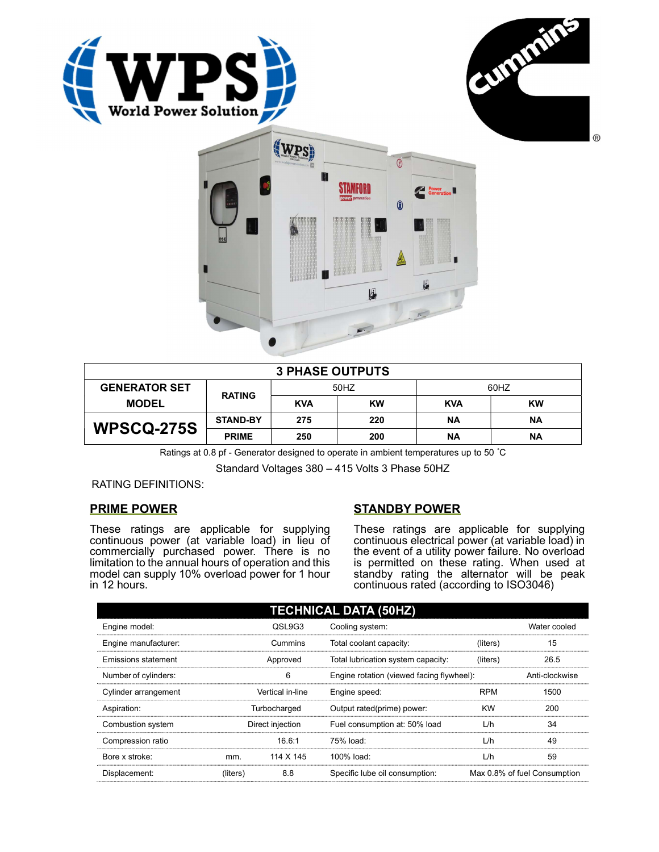





| <b>3 PHASE OUTPUTS</b> |                 |            |           |            |    |  |
|------------------------|-----------------|------------|-----------|------------|----|--|
| <b>GENERATOR SET</b>   | <b>RATING</b>   | 50HZ       |           | 60HZ       |    |  |
| <b>MODEL</b>           |                 | <b>KVA</b> | <b>KW</b> | <b>KVA</b> | KW |  |
| <b>WPSCQ-275S</b>      | <b>STAND-BY</b> | 275        | 220       | <b>NA</b>  | ΝA |  |
|                        | <b>PRIME</b>    | 250        | 200       | ΝA         | ΝA |  |

Ratings at 0.8 pf - Generator designed to operate in ambient temperatures up to 50 °C

Standard Voltages 380 – 415 Volts 3 Phase 50HZ

RATING DEFINITIONS:

# PRIME POWER

These ratings are applicable for supplying continuous power (at variable load) in lieu of commercially purchased power. There is no limitation to the annual hours of operation and this model can supply 10% overload power for 1 hour in 12 hours.

# STANDBY POWER

These ratings are applicable for supplying continuous electrical power (at variable load) in the event of a utility power failure. No overload is permitted on these rating. When used at standby rating the alternator will be peak continuous rated (according to ISO3046)

| <b>TECHNICAL DATA (50HZ)</b> |                  |                  |                                           |            |                              |
|------------------------------|------------------|------------------|-------------------------------------------|------------|------------------------------|
| Engine model:                |                  | QSL9G3           | Cooling system:                           |            | Water cooled                 |
| Engine manufacturer:         |                  | Cummins          | Total coolant capacity:                   | (liters)   | 15                           |
| Emissions statement          | Approved         |                  | Total lubrication system capacity:        | (liters)   | 26.5                         |
| Number of cylinders:         | 6                |                  | Engine rotation (viewed facing flywheel): |            | Anti-clockwise               |
| Cylinder arrangement         |                  | Vertical in-line | Engine speed:                             | <b>RPM</b> | 1500                         |
| Aspiration:                  | Turbocharged     |                  | Output rated(prime) power:                | <b>KW</b>  | 200                          |
| Combustion system            | Direct injection |                  | Fuel consumption at: 50% load             | L/h        | 34                           |
| Compression ratio            |                  | 16.6:1           | 75% load:                                 | L/h        | 49                           |
| Bore x stroke:               | mm.              | 114 X 145        | 100% load:                                | L/h        | 59                           |
| Displacement:                | (liters)         | 8.8              | Specific lube oil consumption:            |            | Max 0.8% of fuel Consumption |